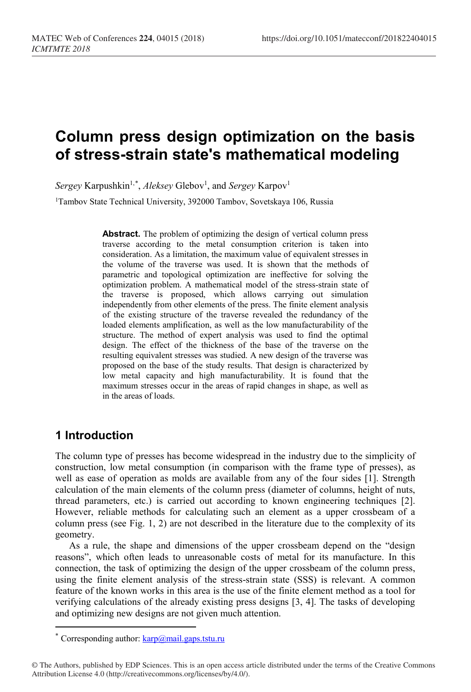# **Column press design optimization on the basis of stress-strain state's mathematical modeling**

 $Sergey$  Karpushkin<sup>1,[\\*](#page-0-0)</sup>, Aleksey Glebov<sup>1</sup>, and *Sergey* Karpov<sup>1</sup>

<sup>1</sup>Tambov State Technical University, 392000 Tambov, Sovetskaya 106, Russia

**Abstract.** The problem of optimizing the design of vertical column press traverse according to the metal consumption criterion is taken into consideration. As a limitation, the maximum value of equivalent stresses in the volume of the traverse was used. It is shown that the methods of parametric and topological optimization are ineffective for solving the optimization problem. A mathematical model of the stress-strain state of the traverse is proposed, which allows carrying out simulation independently from other elements of the press. The finite element analysis of the existing structure of the traverse revealed the redundancy of the loaded elements amplification, as well as the low manufacturability of the structure. The method of expert analysis was used to find the optimal design. The effect of the thickness of the base of the traverse on the resulting equivalent stresses was studied. A new design of the traverse was proposed on the base of the study results. That design is characterized by low metal capacity and high manufacturability. It is found that the maximum stresses occur in the areas of rapid changes in shape, as well as in the areas of loads.

# **1 Introduction**

 $\overline{a}$ 

The column type of presses has become widespread in the industry due to the simplicity of construction, low metal consumption (in comparison with the frame type of presses), as well as ease of operation as molds are available from any of the four sides [1]. Strength calculation of the main elements of the column press (diameter of columns, height of nuts, thread parameters, etc.) is carried out according to known engineering techniques [2]. However, reliable methods for calculating such an element as a upper crossbeam of a column press (see Fig. 1, 2) are not described in the literature due to the complexity of its geometry.

As a rule, the shape and dimensions of the upper crossbeam depend on the "design reasons", which often leads to unreasonable costs of metal for its manufacture. In this connection, the task of optimizing the design of the upper crossbeam of the column press, using the finite element analysis of the stress-strain state (SSS) is relevant. A common feature of the known works in this area is the use of the finite element method as a tool for verifying calculations of the already existing press designs [3, 4]. The tasks of developing and optimizing new designs are not given much attention.

<sup>\*</sup> Corresponding author:  $\frac{\text{karp}(a)}{a}$ mail.gaps.tstu.ru

<span id="page-0-0"></span><sup>©</sup> The Authors, published by EDP Sciences. This is an open access article distributed under the terms of the Creative Commons Attribution License 4.0 (http://creativecommons.org/licenses/by/4.0/).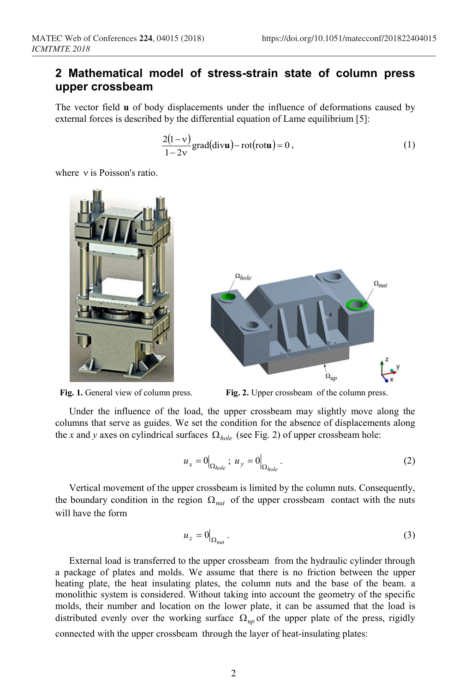### **2 Mathematical model of stress-strain state of column press upper crossbeam**

The vector field **u** of body displacements under the influence of deformations caused by external forces is described by the differential equation of Lame equilibrium [5]:

$$
\frac{2(1-v)}{1-2v}\text{grad}(\text{div}\mathbf{u}) - \text{rot}(\text{rot}\mathbf{u}) = 0, \qquad (1)
$$

where ν is Poisson's ratio.





**Fig. 1.** General view of column press. **Fig. 2.** Upper crossbeam of the column press.

Under the influence of the load, the upper crossbeam may slightly move along the columns that serve as guides. We set the condition for the absence of displacements along the *x* and *y* axes on cylindrical surfaces  $\Omega_{hole}$  (see Fig. 2) of upper crossbeam hole:

$$
u_x = 0 \Big|_{\Omega_{hole}}; \ u_y = 0 \Big|_{\Omega_{hole}}. \tag{2}
$$

Vertical movement of the upper crossbeam is limited by the column nuts. Consequently, the boundary condition in the region  $\Omega_{nut}$  of the upper crossbeam contact with the nuts will have the form

$$
u_z = 0\Big|_{\Omega_{nu}}.\tag{3}
$$

External load is transferred to the upper crossbeam from the hydraulic cylinder through a package of plates and molds. We assume that there is no friction between the upper heating plate, the heat insulating plates, the column nuts and the base of the beam. a monolithic system is considered. Without taking into account the geometry of the specific molds, their number and location on the lower plate, it can be assumed that the load is distributed evenly over the working surface  $\Omega_{up}$  of the upper plate of the press, rigidly

connected with the upper crossbeam through the layer of heat-insulating plates: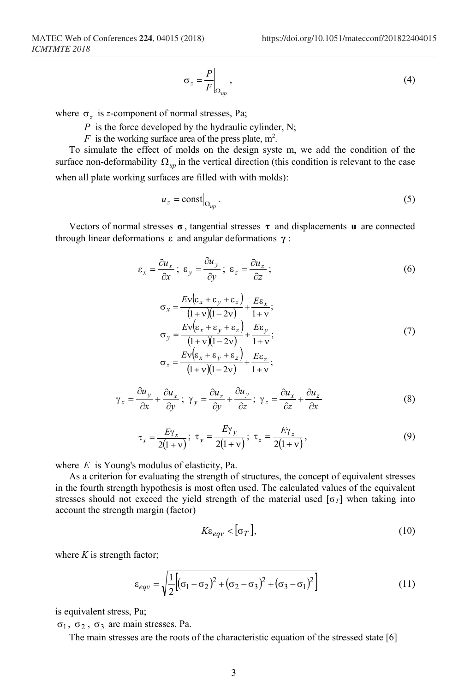$$
\sigma_z = \frac{P}{F}\bigg|_{\Omega_{up}},\tag{4}
$$

where  $\sigma_z$  is *z*-component of normal stresses, Pa;

*P* is the force developed by the hydraulic cylinder, N;

 $F$  is the working surface area of the press plate,  $m^2$ .

To simulate the effect of molds on the design syste m, we add the condition of the surface non-deformability  $\Omega_{uv}$  in the vertical direction (this condition is relevant to the case

when all plate working surfaces are filled with with molds):

$$
u_z = \text{const}|_{\Omega_{up}}.\tag{5}
$$

Vectors of normal stresses **σ** , tangential stresses **τ** and displacements **u** are connected through linear deformations **ε** and angular deformations **γ** :

$$
\varepsilon_x = \frac{\partial u_x}{\partial x}; \ \varepsilon_y = \frac{\partial u_y}{\partial y}; \ \varepsilon_z = \frac{\partial u_z}{\partial z}; \tag{6}
$$

$$
\sigma_x = \frac{Ev(\varepsilon_x + \varepsilon_y + \varepsilon_z)}{(1+v)(1-2v)} + \frac{E\varepsilon_x}{1+v};
$$
  
\n
$$
\sigma_y = \frac{Ev(\varepsilon_x + \varepsilon_y + \varepsilon_z)}{(1+v)(1-2v)} + \frac{E\varepsilon_y}{1+v};
$$
  
\n
$$
\sigma_z = \frac{Ev(\varepsilon_x + \varepsilon_y + \varepsilon_z)}{(1+v)(1-2v)} + \frac{E\varepsilon_z}{1+v};
$$
\n(7)

$$
\gamma_x = \frac{\partial u_y}{\partial x} + \frac{\partial u_x}{\partial y}; \ \gamma_y = \frac{\partial u_z}{\partial y} + \frac{\partial u_y}{\partial z}; \ \gamma_z = \frac{\partial u_x}{\partial z} + \frac{\partial u_z}{\partial x}
$$
(8)

$$
\tau_x = \frac{E\gamma_x}{2(1+\nu)}; \ \tau_y = \frac{E\gamma_y}{2(1+\nu)}; \ \tau_z = \frac{E\gamma_z}{2(1+\nu)}, \tag{9}
$$

where *E* is Young's modulus of elasticity, Pa.

As a criterion for evaluating the strength of structures, the concept of equivalent stresses in the fourth strength hypothesis is most often used. The calculated values of the equivalent stresses should not exceed the yield strength of the material used  $[\sigma_T]$  when taking into account the strength margin (factor)

*E*

$$
K\varepsilon_{eqv} < [\sigma_T], \tag{10}
$$

where  $K$  is strength factor;

$$
\varepsilon_{eqv} = \sqrt{\frac{1}{2} \left[ (\sigma_1 - \sigma_2)^2 + (\sigma_2 - \sigma_3)^2 + (\sigma_3 - \sigma_1)^2 \right]}
$$
(11)

is equivalent stress, Pa;

 $σ<sub>1</sub>$ ,  $σ<sub>2</sub>$ ,  $σ<sub>3</sub>$  are main stresses, Pa.

The main stresses are the roots of the characteristic equation of the stressed state [6]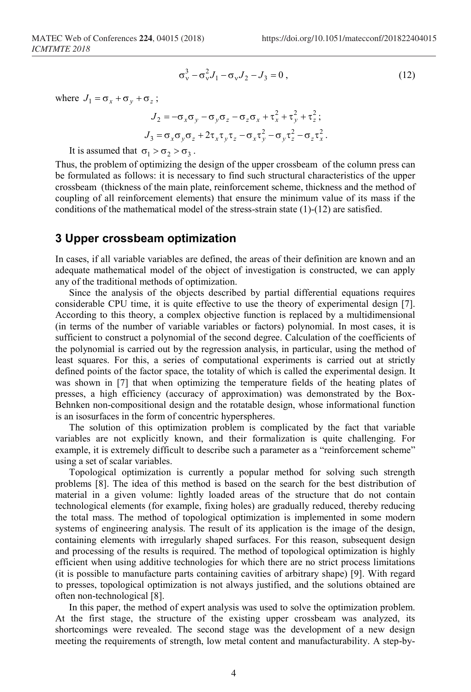$$
\sigma_{\nu}^{3} - \sigma_{\nu}^{2} J_{1} - \sigma_{\nu} J_{2} - J_{3} = 0,
$$
\n(12)

where  $J_1 = \sigma_x + \sigma_y + \sigma_z$ ;

$$
J_2 = -\sigma_x \sigma_y - \sigma_y \sigma_z - \sigma_z \sigma_x + \tau_x^2 + \tau_y^2 + \tau_z^2;
$$
  

$$
J_3 = \sigma_x \sigma_y \sigma_z + 2\tau_x \tau_y \tau_z - \sigma_x \tau_y^2 - \sigma_y \tau_z^2 - \sigma_z \tau_x^2.
$$

It is assumed that  $\sigma_1 > \sigma_2 > \sigma_3$ .

Thus, the problem of optimizing the design of the upper crossbeam of the column press can be formulated as follows: it is necessary to find such structural characteristics of the upper crossbeam (thickness of the main plate, reinforcement scheme, thickness and the method of coupling of all reinforcement elements) that ensure the minimum value of its mass if the conditions of the mathematical model of the stress-strain state (1)-(12) are satisfied.

### **3 Upper crossbeam optimization**

In cases, if all variable variables are defined, the areas of their definition are known and an adequate mathematical model of the object of investigation is constructed, we can apply any of the traditional methods of optimization.

Since the analysis of the objects described by partial differential equations requires considerable CPU time, it is quite effective to use the theory of experimental design [7]. According to this theory, a complex objective function is replaced by a multidimensional (in terms of the number of variable variables or factors) polynomial. In most cases, it is sufficient to construct a polynomial of the second degree. Calculation of the coefficients of the polynomial is carried out by the regression analysis, in particular, using the method of least squares. For this, a series of computational experiments is carried out at strictly defined points of the factor space, the totality of which is called the experimental design. It was shown in [7] that when optimizing the temperature fields of the heating plates of presses, a high efficiency (accuracy of approximation) was demonstrated by the Box-Behnken non-compositional design and the rotatable design, whose informational function is an isosurfaces in the form of concentric hyperspheres.

The solution of this optimization problem is complicated by the fact that variable variables are not explicitly known, and their formalization is quite challenging. For example, it is extremely difficult to describe such a parameter as a "reinforcement scheme" using a set of scalar variables.

Topological optimization is currently a popular method for solving such strength problems [8]. The idea of this method is based on the search for the best distribution of material in a given volume: lightly loaded areas of the structure that do not contain technological elements (for example, fixing holes) are gradually reduced, thereby reducing the total mass. The method of topological optimization is implemented in some modern systems of engineering analysis. The result of its application is the image of the design, containing elements with irregularly shaped surfaces. For this reason, subsequent design and processing of the results is required. The method of topological optimization is highly efficient when using additive technologies for which there are no strict process limitations (it is possible to manufacture parts containing cavities of arbitrary shape) [9]. With regard to presses, topological optimization is not always justified, and the solutions obtained are often non-technological [8].

In this paper, the method of expert analysis was used to solve the optimization problem. At the first stage, the structure of the existing upper crossbeam was analyzed, its shortcomings were revealed. The second stage was the development of a new design meeting the requirements of strength, low metal content and manufacturability. A step-by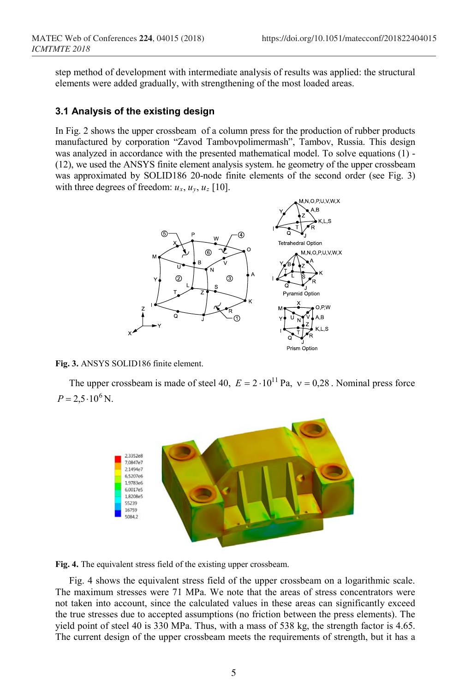step method of development with intermediate analysis of results was applied: the structural elements were added gradually, with strengthening of the most loaded areas.

#### **3.1 Analysis of the existing design**

In Fig. 2 shows the upper crossbeam of a column press for the production of rubber products manufactured by corporation "Zavod Tambovpolimermash", Tambov, Russia. This design was analyzed in accordance with the presented mathematical model. To solve equations (1) - (12), we used the ANSYS finite element analysis system. he geometry of the upper crossbeam was approximated by SOLID186 20-node finite elements of the second order (see Fig. 3) with three degrees of freedom:  $u_x$ ,  $u_y$ ,  $u_z$  [10].



#### **Fig. 3.** ANSYS SOLID186 finite element.

The upper crossbeam is made of steel 40,  $E = 2 \cdot 10^{11}$  Pa,  $v = 0.28$ . Nominal press force  $P = 2.5 \cdot 10^6$  N.



**Fig. 4.** The equivalent stress field of the existing upper crossbeam.

Fig. 4 shows the equivalent stress field of the upper crossbeam on a logarithmic scale. The maximum stresses were 71 MPa. We note that the areas of stress concentrators were not taken into account, since the calculated values in these areas can significantly exceed the true stresses due to accepted assumptions (no friction between the press elements). The yield point of steel 40 is 330 MPa. Thus, with a mass of 538 kg, the strength factor is 4.65. The current design of the upper crossbeam meets the requirements of strength, but it has a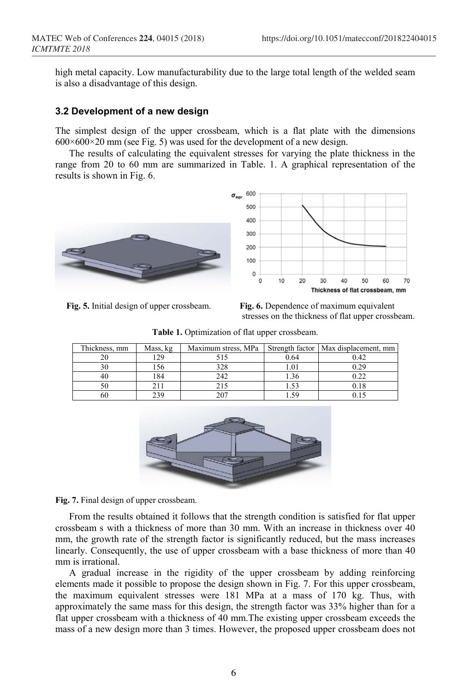high metal capacity. Low manufacturability due to the large total length of the welded seam is also a disadvantage of this design.

#### **3.2 Development of a new design**

The simplest design of the upper crossbeam, which is a flat plate with the dimensions  $600\times600\times20$  mm (see Fig. 5) was used for the development of a new design.

The results of calculating the equivalent stresses for varying the plate thickness in the range from 20 to 60 mm are summarized in Table. 1. A graphical representation of the results is shown in Fig. 6.



**Fig. 5.** Initial design of upper crossbeam. **Fig. 6.** Dependence of maximum equivalent stresses on the thickness of flat upper crossbeam.

| Thickness, mm | Mass, kg |     |      | Maximum stress, MPa   Strength factor   Max displacement, mm |
|---------------|----------|-----|------|--------------------------------------------------------------|
|               | 129      |     | 0.64 | 0.42                                                         |
|               | .56      | 328 | 1.01 | 0.29                                                         |
| 40            | ' 84     | 242 | 1.36 | 0.22                                                         |
| 50            |          |     |      |                                                              |
| 6U            | 239      |     | 50   |                                                              |

**Table 1.** Optimization of flat upper crossbeam.



**Fig. 7.** Final design of upper crossbeam.

From the results obtained it follows that the strength condition is satisfied for flat upper crossbeam s with a thickness of more than 30 mm. With an increase in thickness over 40 mm, the growth rate of the strength factor is significantly reduced, but the mass increases linearly. Consequently, the use of upper crossbeam with a base thickness of more than 40 mm is irrational.

A gradual increase in the rigidity of the upper crossbeam by adding reinforcing elements made it possible to propose the design shown in Fig. 7. For this upper crossbeam, the maximum equivalent stresses were 181 MPa at a mass of 170 kg. Thus, with approximately the same mass for this design, the strength factor was 33% higher than for a flat upper crossbeam with a thickness of 40 mm.The existing upper crossbeam exceeds the mass of a new design more than 3 times. However, the proposed upper crossbeam does not